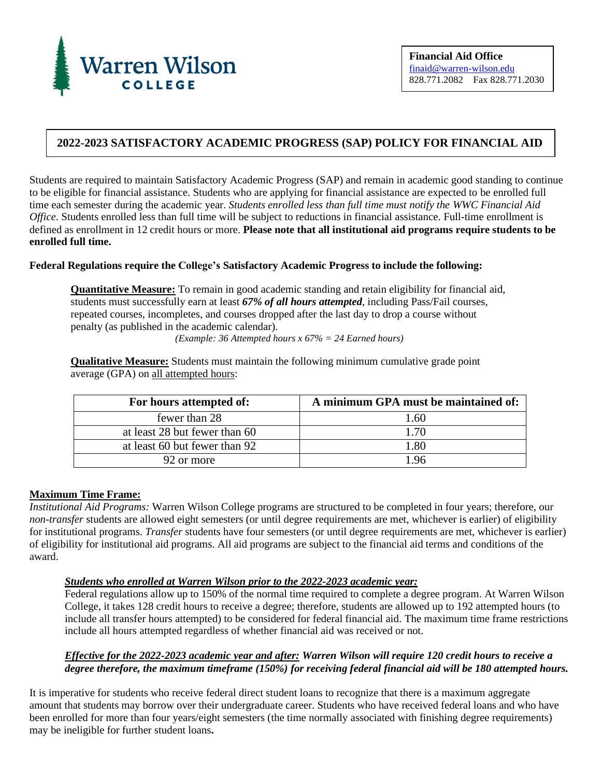

## **2022-2023 SATISFACTORY ACADEMIC PROGRESS (SAP) POLICY FOR FINANCIAL AID**

Students are required to maintain Satisfactory Academic Progress (SAP) and remain in academic good standing to continue to be eligible for financial assistance. Students who are applying for financial assistance are expected to be enrolled full time each semester during the academic year. *Students enrolled less than full time must notify the WWC Financial Aid Office*. Students enrolled less than full time will be subject to reductions in financial assistance. Full-time enrollment is defined as enrollment in 12 credit hours or more. **Please note that all institutional aid programs require students to be enrolled full time.**

#### **Federal Regulations require the College's Satisfactory Academic Progress to include the following:**

**Quantitative Measure:** To remain in good academic standing and retain eligibility for financial aid, students must successfully earn at least *67% of all hours attempted*, including Pass/Fail courses, repeated courses, incompletes, and courses dropped after the last day to drop a course without penalty (as published in the academic calendar).

*(Example: 36 Attempted hours x 67% = 24 Earned hours)*

**Qualitative Measure:** Students must maintain the following minimum cumulative grade point average (GPA) on all attempted hours:

| For hours attempted of:       | A minimum GPA must be maintained of: |
|-------------------------------|--------------------------------------|
| fewer than 28                 | 1.60                                 |
| at least 28 but fewer than 60 | 1 70                                 |
| at least 60 but fewer than 92 | 1.80                                 |
| 92 or more                    | 1.96                                 |

#### **Maximum Time Frame:**

*Institutional Aid Programs:* Warren Wilson College programs are structured to be completed in four years; therefore, our *non-transfer* students are allowed eight semesters (or until degree requirements are met, whichever is earlier) of eligibility for institutional programs. *Transfer* students have four semesters (or until degree requirements are met, whichever is earlier) of eligibility for institutional aid programs. All aid programs are subject to the financial aid terms and conditions of the award.

#### *Students who enrolled at Warren Wilson prior to the 2022-2023 academic year:*

Federal regulations allow up to 150% of the normal time required to complete a degree program. At Warren Wilson College, it takes 128 credit hours to receive a degree; therefore, students are allowed up to 192 attempted hours (to include all transfer hours attempted) to be considered for federal financial aid. The maximum time frame restrictions include all hours attempted regardless of whether financial aid was received or not.

#### *Effective for the 2022-2023 academic year and after: Warren Wilson will require 120 credit hours to receive a degree therefore, the maximum timeframe (150%) for receiving federal financial aid will be 180 attempted hours.*

It is imperative for students who receive federal direct student loans to recognize that there is a maximum aggregate amount that students may borrow over their undergraduate career. Students who have received federal loans and who have been enrolled for more than four years/eight semesters (the time normally associated with finishing degree requirements) may be ineligible for further student loans**.**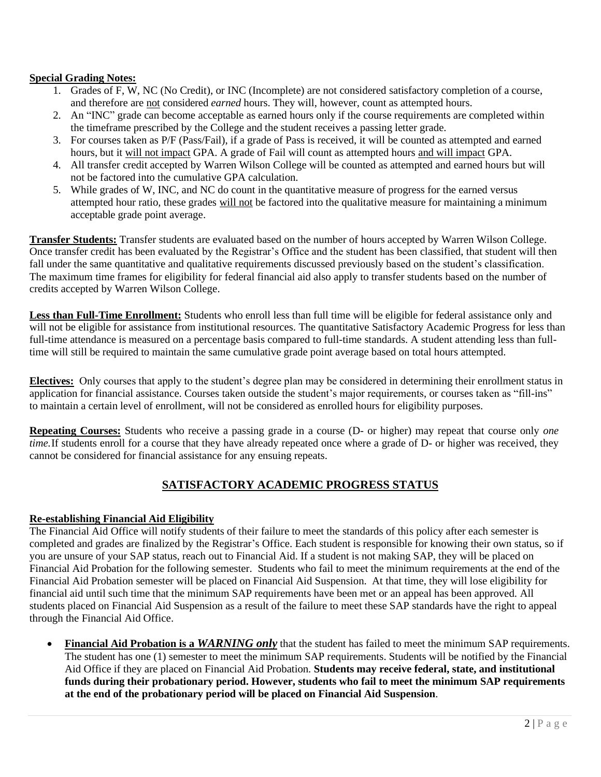### **Special Grading Notes:**

- 1. Grades of F, W, NC (No Credit), or INC (Incomplete) are not considered satisfactory completion of a course, and therefore are not considered *earned* hours. They will, however, count as attempted hours.
- 2. An "INC" grade can become acceptable as earned hours only if the course requirements are completed within the timeframe prescribed by the College and the student receives a passing letter grade.
- 3. For courses taken as P/F (Pass/Fail), if a grade of Pass is received, it will be counted as attempted and earned hours, but it will not impact GPA. A grade of Fail will count as attempted hours and will impact GPA.
- 4. All transfer credit accepted by Warren Wilson College will be counted as attempted and earned hours but will not be factored into the cumulative GPA calculation.
- 5. While grades of W, INC, and NC do count in the quantitative measure of progress for the earned versus attempted hour ratio, these grades will not be factored into the qualitative measure for maintaining a minimum acceptable grade point average.

**Transfer Students:** Transfer students are evaluated based on the number of hours accepted by Warren Wilson College. Once transfer credit has been evaluated by the Registrar's Office and the student has been classified, that student will then fall under the same quantitative and qualitative requirements discussed previously based on the student's classification. The maximum time frames for eligibility for federal financial aid also apply to transfer students based on the number of credits accepted by Warren Wilson College.

**Less than Full-Time Enrollment:** Students who enroll less than full time will be eligible for federal assistance only and will not be eligible for assistance from institutional resources. The quantitative Satisfactory Academic Progress for less than full-time attendance is measured on a percentage basis compared to full-time standards. A student attending less than fulltime will still be required to maintain the same cumulative grade point average based on total hours attempted.

**Electives:** Only courses that apply to the student's degree plan may be considered in determining their enrollment status in application for financial assistance. Courses taken outside the student's major requirements, or courses taken as "fill-ins" to maintain a certain level of enrollment, will not be considered as enrolled hours for eligibility purposes.

**Repeating Courses:** Students who receive a passing grade in a course (D- or higher) may repeat that course only *one time.* If students enroll for a course that they have already repeated once where a grade of D- or higher was received, they cannot be considered for financial assistance for any ensuing repeats.

## **SATISFACTORY ACADEMIC PROGRESS STATUS**

### **Re-establishing Financial Aid Eligibility**

The Financial Aid Office will notify students of their failure to meet the standards of this policy after each semester is completed and grades are finalized by the Registrar's Office. Each student is responsible for knowing their own status, so if you are unsure of your SAP status, reach out to Financial Aid. If a student is not making SAP, they will be placed on Financial Aid Probation for the following semester. Students who fail to meet the minimum requirements at the end of the Financial Aid Probation semester will be placed on Financial Aid Suspension. At that time, they will lose eligibility for financial aid until such time that the minimum SAP requirements have been met or an appeal has been approved. All students placed on Financial Aid Suspension as a result of the failure to meet these SAP standards have the right to appeal through the Financial Aid Office.

• **Financial Aid Probation is a** *WARNING only* that the student has failed to meet the minimum SAP requirements. The student has one (1) semester to meet the minimum SAP requirements. Students will be notified by the Financial Aid Office if they are placed on Financial Aid Probation. **Students may receive federal, state, and institutional funds during their probationary period. However, students who fail to meet the minimum SAP requirements at the end of the probationary period will be placed on Financial Aid Suspension**.